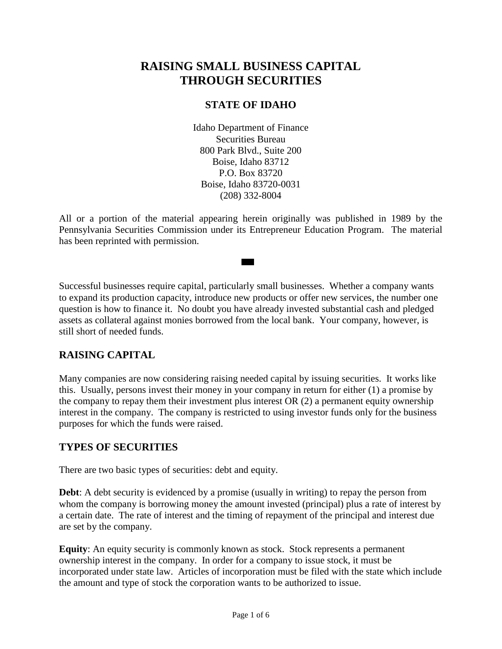# **RAISING SMALL BUSINESS CAPITAL THROUGH SECURITIES**

## **STATE OF IDAHO**

Idaho Department of Finance Securities Bureau 800 Park Blvd., Suite 200 Boise, Idaho 83712 P.O. Box 83720 Boise, Idaho 83720-0031 (208) 332-8004

All or a portion of the material appearing herein originally was published in 1989 by the Pennsylvania Securities Commission under its Entrepreneur Education Program. The material has been reprinted with permission.

Successful businesses require capital, particularly small businesses. Whether a company wants to expand its production capacity, introduce new products or offer new services, the number one question is how to finance it. No doubt you have already invested substantial cash and pledged assets as collateral against monies borrowed from the local bank. Your company, however, is still short of needed funds.

## **RAISING CAPITAL**

Many companies are now considering raising needed capital by issuing securities. It works like this. Usually, persons invest their money in your company in return for either (1) a promise by the company to repay them their investment plus interest OR (2) a permanent equity ownership interest in the company. The company is restricted to using investor funds only for the business purposes for which the funds were raised.

## **TYPES OF SECURITIES**

There are two basic types of securities: debt and equity.

**Debt**: A debt security is evidenced by a promise (usually in writing) to repay the person from whom the company is borrowing money the amount invested (principal) plus a rate of interest by a certain date. The rate of interest and the timing of repayment of the principal and interest due are set by the company.

**Equity**: An equity security is commonly known as stock. Stock represents a permanent ownership interest in the company. In order for a company to issue stock, it must be incorporated under state law. Articles of incorporation must be filed with the state which include the amount and type of stock the corporation wants to be authorized to issue.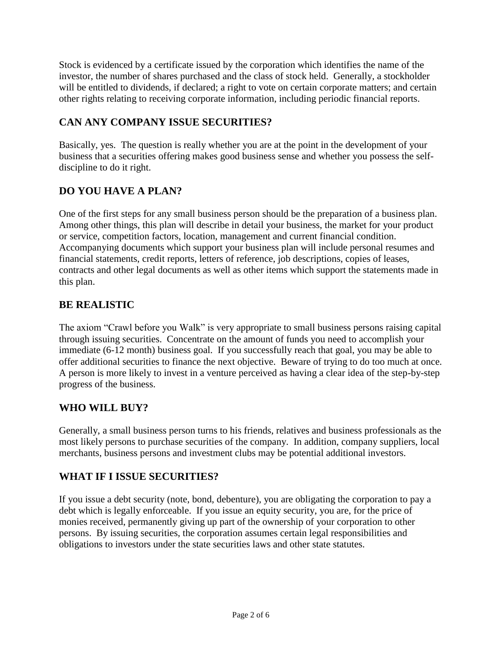Stock is evidenced by a certificate issued by the corporation which identifies the name of the investor, the number of shares purchased and the class of stock held. Generally, a stockholder will be entitled to dividends, if declared; a right to vote on certain corporate matters; and certain other rights relating to receiving corporate information, including periodic financial reports.

## **CAN ANY COMPANY ISSUE SECURITIES?**

Basically, yes. The question is really whether you are at the point in the development of your business that a securities offering makes good business sense and whether you possess the selfdiscipline to do it right.

## **DO YOU HAVE A PLAN?**

One of the first steps for any small business person should be the preparation of a business plan. Among other things, this plan will describe in detail your business, the market for your product or service, competition factors, location, management and current financial condition. Accompanying documents which support your business plan will include personal resumes and financial statements, credit reports, letters of reference, job descriptions, copies of leases, contracts and other legal documents as well as other items which support the statements made in this plan.

## **BE REALISTIC**

The axiom "Crawl before you Walk" is very appropriate to small business persons raising capital through issuing securities. Concentrate on the amount of funds you need to accomplish your immediate (6-12 month) business goal. If you successfully reach that goal, you may be able to offer additional securities to finance the next objective. Beware of trying to do too much at once. A person is more likely to invest in a venture perceived as having a clear idea of the step-by-step progress of the business.

## **WHO WILL BUY?**

Generally, a small business person turns to his friends, relatives and business professionals as the most likely persons to purchase securities of the company. In addition, company suppliers, local merchants, business persons and investment clubs may be potential additional investors.

## **WHAT IF I ISSUE SECURITIES?**

If you issue a debt security (note, bond, debenture), you are obligating the corporation to pay a debt which is legally enforceable. If you issue an equity security, you are, for the price of monies received, permanently giving up part of the ownership of your corporation to other persons. By issuing securities, the corporation assumes certain legal responsibilities and obligations to investors under the state securities laws and other state statutes.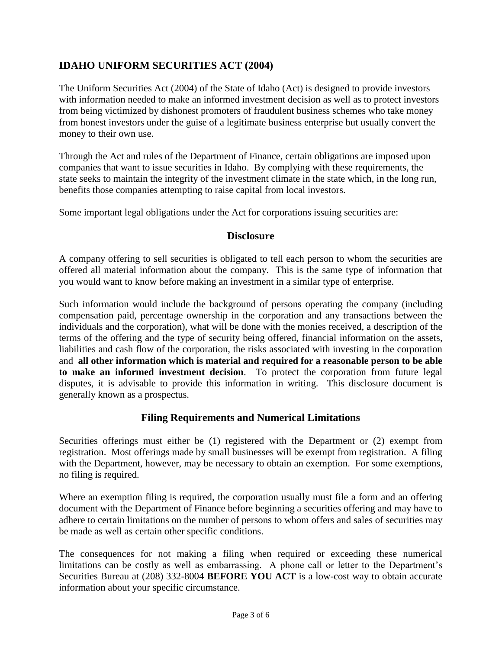## **IDAHO UNIFORM SECURITIES ACT (2004)**

The Uniform Securities Act (2004) of the State of Idaho (Act) is designed to provide investors with information needed to make an informed investment decision as well as to protect investors from being victimized by dishonest promoters of fraudulent business schemes who take money from honest investors under the guise of a legitimate business enterprise but usually convert the money to their own use.

Through the Act and rules of the Department of Finance, certain obligations are imposed upon companies that want to issue securities in Idaho. By complying with these requirements, the state seeks to maintain the integrity of the investment climate in the state which, in the long run, benefits those companies attempting to raise capital from local investors.

Some important legal obligations under the Act for corporations issuing securities are:

#### **Disclosure**

A company offering to sell securities is obligated to tell each person to whom the securities are offered all material information about the company. This is the same type of information that you would want to know before making an investment in a similar type of enterprise.

Such information would include the background of persons operating the company (including compensation paid, percentage ownership in the corporation and any transactions between the individuals and the corporation), what will be done with the monies received, a description of the terms of the offering and the type of security being offered, financial information on the assets, liabilities and cash flow of the corporation, the risks associated with investing in the corporation and **all other information which is material and required for a reasonable person to be able to make an informed investment decision**. To protect the corporation from future legal disputes, it is advisable to provide this information in writing. This disclosure document is generally known as a prospectus.

#### **Filing Requirements and Numerical Limitations**

Securities offerings must either be (1) registered with the Department or (2) exempt from registration. Most offerings made by small businesses will be exempt from registration. A filing with the Department, however, may be necessary to obtain an exemption. For some exemptions, no filing is required.

Where an exemption filing is required, the corporation usually must file a form and an offering document with the Department of Finance before beginning a securities offering and may have to adhere to certain limitations on the number of persons to whom offers and sales of securities may be made as well as certain other specific conditions.

The consequences for not making a filing when required or exceeding these numerical limitations can be costly as well as embarrassing. A phone call or letter to the Department's Securities Bureau at (208) 332-8004 **BEFORE YOU ACT** is a low-cost way to obtain accurate information about your specific circumstance.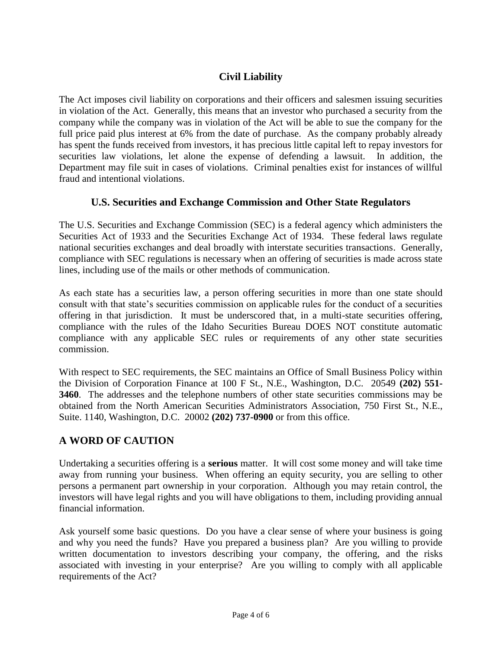## **Civil Liability**

The Act imposes civil liability on corporations and their officers and salesmen issuing securities in violation of the Act. Generally, this means that an investor who purchased a security from the company while the company was in violation of the Act will be able to sue the company for the full price paid plus interest at 6% from the date of purchase. As the company probably already has spent the funds received from investors, it has precious little capital left to repay investors for securities law violations, let alone the expense of defending a lawsuit. In addition, the Department may file suit in cases of violations. Criminal penalties exist for instances of willful fraud and intentional violations.

## **U.S. Securities and Exchange Commission and Other State Regulators**

The U.S. Securities and Exchange Commission (SEC) is a federal agency which administers the Securities Act of 1933 and the Securities Exchange Act of 1934. These federal laws regulate national securities exchanges and deal broadly with interstate securities transactions. Generally, compliance with SEC regulations is necessary when an offering of securities is made across state lines, including use of the mails or other methods of communication.

As each state has a securities law, a person offering securities in more than one state should consult with that state's securities commission on applicable rules for the conduct of a securities offering in that jurisdiction. It must be underscored that, in a multi-state securities offering, compliance with the rules of the Idaho Securities Bureau DOES NOT constitute automatic compliance with any applicable SEC rules or requirements of any other state securities commission.

With respect to SEC requirements, the SEC maintains an Office of Small Business Policy within the Division of Corporation Finance at 100 F St., N.E., Washington, D.C. 20549 **(202) 551- 3460**. The addresses and the telephone numbers of other state securities commissions may be obtained from the North American Securities Administrators Association, 750 First St., N.E., Suite. 1140, Washington, D.C. 20002 **(202) 737-0900** or from this office.

## **A WORD OF CAUTION**

Undertaking a securities offering is a **serious** matter. It will cost some money and will take time away from running your business. When offering an equity security, you are selling to other persons a permanent part ownership in your corporation. Although you may retain control, the investors will have legal rights and you will have obligations to them, including providing annual financial information.

Ask yourself some basic questions. Do you have a clear sense of where your business is going and why you need the funds? Have you prepared a business plan? Are you willing to provide written documentation to investors describing your company, the offering, and the risks associated with investing in your enterprise? Are you willing to comply with all applicable requirements of the Act?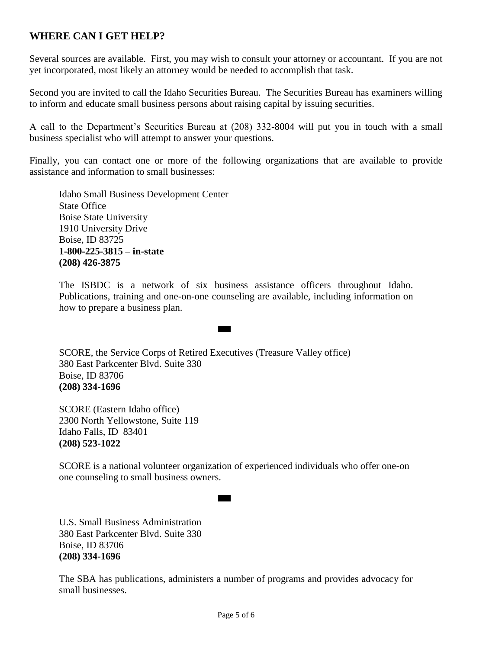## **WHERE CAN I GET HELP?**

Several sources are available. First, you may wish to consult your attorney or accountant. If you are not yet incorporated, most likely an attorney would be needed to accomplish that task.

Second you are invited to call the Idaho Securities Bureau. The Securities Bureau has examiners willing to inform and educate small business persons about raising capital by issuing securities.

A call to the Department's Securities Bureau at (208) 332-8004 will put you in touch with a small business specialist who will attempt to answer your questions.

Finally, you can contact one or more of the following organizations that are available to provide assistance and information to small businesses:

Idaho Small Business Development Center State Office Boise State University 1910 University Drive Boise, ID 83725 **1-800-225-3815 – in-state (208) 426-3875**

The ISBDC is a network of six business assistance officers throughout Idaho. Publications, training and one-on-one counseling are available, including information on how to prepare a business plan.

SCORE, the Service Corps of Retired Executives (Treasure Valley office) 380 East Parkcenter Blvd. Suite 330 Boise, ID 83706 **(208) 334-1696**

SCORE (Eastern Idaho office) 2300 North Yellowstone, Suite 119 Idaho Falls, ID 83401 **(208) 523-1022**

SCORE is a national volunteer organization of experienced individuals who offer one-on one counseling to small business owners.

U.S. Small Business Administration 380 East Parkcenter Blvd. Suite 330 Boise, ID 83706 **(208) 334-1696**

The SBA has publications, administers a number of programs and provides advocacy for small businesses.